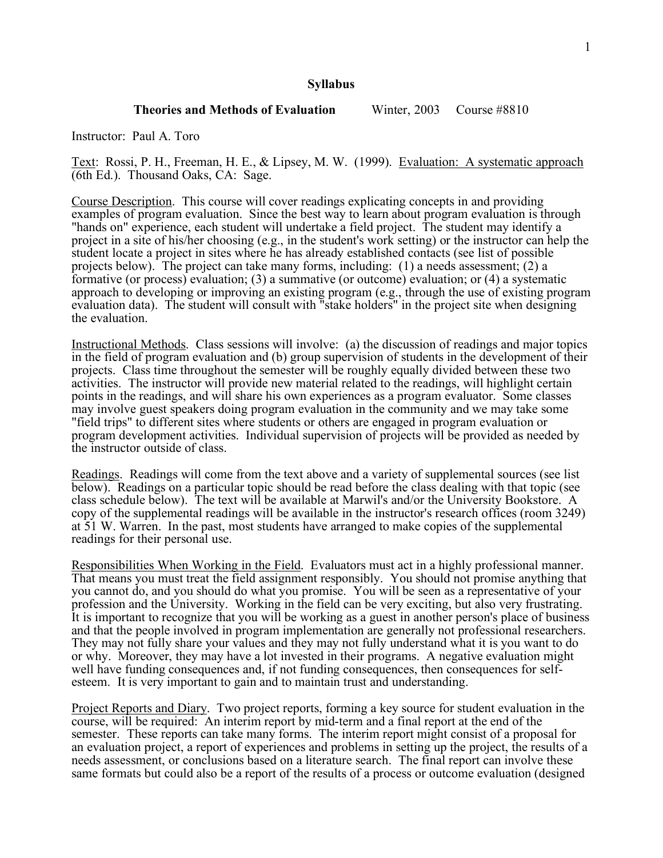## **Syllabus**

### **Theories and Methods of Evaluation** Winter, 2003 Course #8810

Instructor: Paul A. Toro

Text: Rossi, P. H., Freeman, H. E., & Lipsey, M. W. (1999). Evaluation: A systematic approach (6th Ed.). Thousand Oaks, CA: Sage.

Course Description. This course will cover readings explicating concepts in and providing examples of program evaluation. Since the best way to learn about program evaluation is through "hands on" experience, each student will undertake <sup>a</sup> field project. The student may identify <sup>a</sup> project in a site of his/her choosing (e.g., in the student's work setting) or the instructor can help the student locate a project in sites where he has already established contacts (see list of possible projects below). The project can take many forms, including:  $(1)$  a needs assessment;  $(2)$  a formative (or process) evaluation; (3) a summative (or outcome) evaluation; or (4) a systematic approach to developing or improving an existing program (e.g., through the use of existing program evaluation data). The student will consult with "stake holders" in the project site when designing the evaluation.

Instructional Methods. Class sessions will involve: (a) the discussion of readings and major topics in the field of program evaluation and (b) group supervision of students in the development of their projects. Class time throughout the semester will be roughly equally divided between these two activities. The instructor will provide new material related to the readings, will highlight certain points in the readings, and will share his own experiences as a program evaluator. Some classes may involve guest speakers doing program evaluation in the community and we may take some "field trips" to different sites where students or others are engaged in program evaluation or program development activities. Individual supervision of projects will be provided as needed by the instructor outside of class.

Readings. Readings will come from the text above and a variety of supplemental sources (see list below). Readings on a particular topic should be read before the class dealing with that topic (see class schedule below). The text will be available at Marwil's and/or the University Bookstore. A copy of the supplemental readings will be available in the instructor's research offices (room 3249) at 51 W. Warren. In the past, most students have arranged to make copies of the supplemental readings for their personal use.

Responsibilities When Working in the Field. Evaluators must act in a highly professional manner. That means you must treat the field assignment responsibly. You should not promise anything that you cannot do, and you should do what you promise. You will be seen as a representative of your profession and the University. Working in the field can be very exciting, but also very frustrating. It is important to recognize that you will be working as a guest in another person's place of business and that the people involved in program implementation are generally not professional researchers. They may not fully share your values and they may not fully understand what it is you want to do or why. Moreover, they may have a lot invested in their programs. A negative evaluation might well have funding consequences and, if not funding consequences, then consequences for selfesteem. It is very important to gain and to maintain trust and understanding.

Project Reports and Diary. Two project reports, forming a key source for student evaluation in the course, will be required: An interim report by mid-term and a final report at the end of the semester. These reports can take many forms. The interim report might consist of a proposal for an evaluation project, a report of experiences and problems in setting up the project, the results of a needs assessment, or conclusions based on a literature search. The final report can involve these same formats but could also be a report of the results of a process or outcome evaluation (designed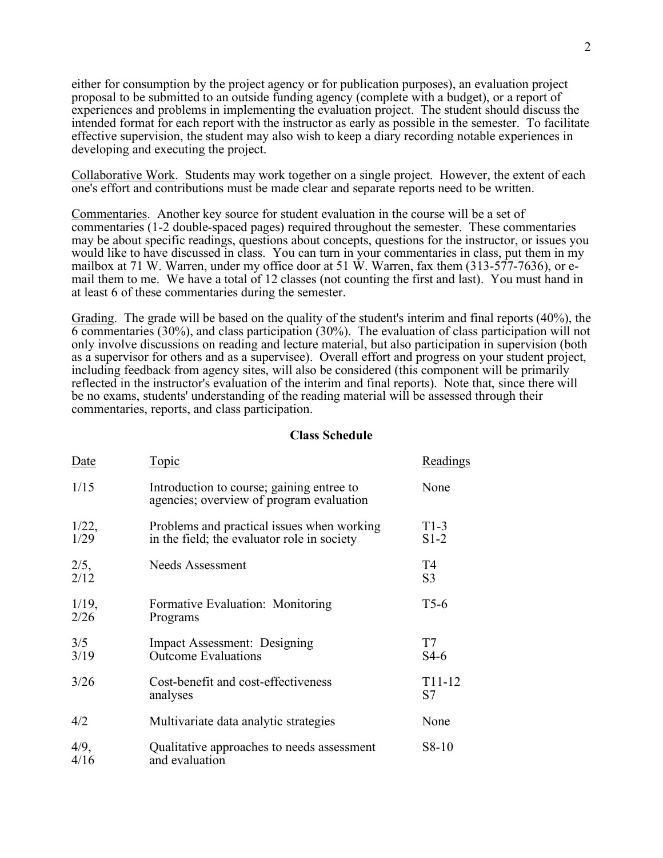either for consumption by the project agency or for publication purposes), an evaluation project proposal to be submitted to an outside funding agency (complete with a budget), or a report of experiences and problems in implementing the evaluation project. The student should discuss the intended format for each report with the instructor as early as possible in the semester. To facilitate effective supervision, the student may also wish to keep a diary recording notable experiences in developing and executing the project.

Collaborative Work. Students may work together on a single project. However, the extent of each one's effort and contributions must be made clear and separate reports need to be written.

Commentaries. Another key source for student evaluation in the course will be a set of commentaries (1-2 double-spaced pages) required throughout the semester. These commentaries may be about specific readings, questions about concepts, questions for the instructor, or issues you would like to have discussed in class. You can turn in your commentaries in class, put them in my mailbox at <sup>71</sup> W. Warren, under my office door at 51 W. Warren, fax them (313-577-7636), or e- mail them to me. We have <sup>a</sup> total of <sup>12</sup> classes (not counting the first and last). You must hand in at least 6 of these commentaries during the semester.

Grading. The grade will be based on the quality of the student's interim and final reports (40%), the 6 commentaries (30%), and class participation (30%). The evaluation of class participation will not only involve discussions on reading and lecture material, but also participation in supervision (both as a supervisor for others and as a supervisee). Overall effort and progress on your student project, including feedback from agency sites, will also be considered (this component will be primarily reflected in the instructor's evaluation of the interim and final reports). Note that, since there will be no exams, students' understanding of the reading material will be assessed through their commentaries, reports, and class participation.

#### **Class Schedule**

| <u>Date</u>      | <u>Topic</u>                                                                              | Readings             |
|------------------|-------------------------------------------------------------------------------------------|----------------------|
| 1/15             | Introduction to course; gaining entree to<br>agencies; overview of program evaluation     | None                 |
| 1/22,<br>1/29    | Problems and practical issues when working<br>in the field; the evaluator role in society | $T1-3$<br>$S1-2$     |
| 2/5,<br>2/12     | Needs Assessment                                                                          | T4<br>S <sub>3</sub> |
| $1/19$ ,<br>2/26 | Formative Evaluation: Monitoring<br>Programs                                              | $T5-6$               |
| 3/5<br>3/19      | Impact Assessment: Designing<br><b>Outcome Evaluations</b>                                | T7<br>$S4-6$         |
| 3/26             | Cost-benefit and cost-effectiveness<br>analyses                                           | $T11-12$<br>S7       |
| 4/2              | Multivariate data analytic strategies                                                     | None                 |
| 4/9,<br>4/16     | Qualitative approaches to needs assessment<br>and evaluation                              | $S8-10$              |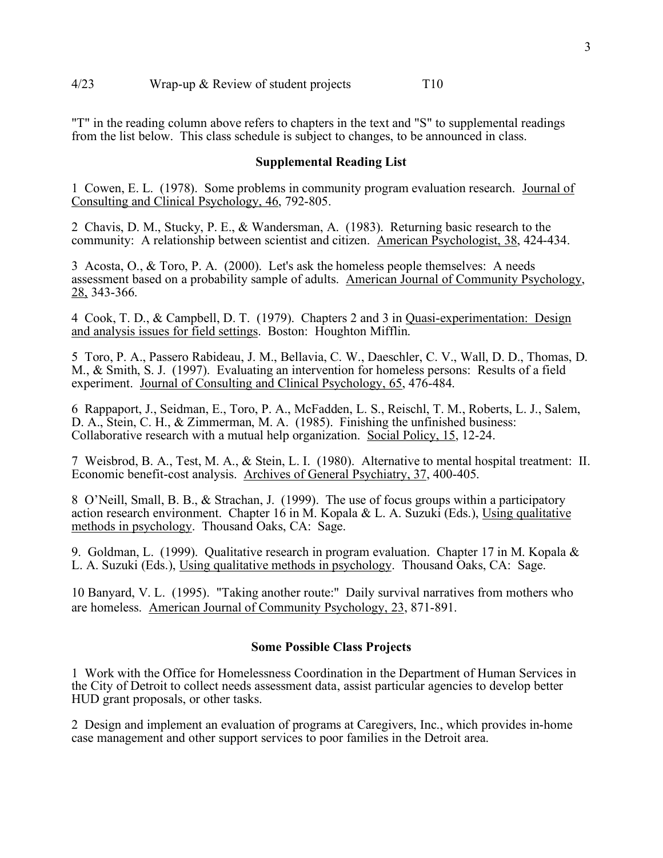"T" in the reading column above refers to chapters in the text and "S" to supplemental readings from the list below. This class schedule is subject to changes, to be announced in class.

## **Supplemental Reading List**

1 Cowen, E. L. (1978). Some problems in community program evaluation research. Journal of Consulting and Clinical Psychology, 46, 792-805.

2 Chavis, D. M., Stucky, P. E., & Wandersman, A. (1983). Returning basic research to the community: A relationship between scientist and citizen. American Psychologist, 38, 424-434.

3 Acosta, O., & Toro, P. A. (2000). Let's ask the homeless people themselves: A needs assessment based on a probability sample of adults. American Journal of Community Psychology, 28, 343-366.

4 Cook, T. D., & Campbell, D. T. (1979). Chapters 2 and 3 in Quasi-experimentation: Design and analysis issues for field settings. Boston: Houghton Mifflin.

5 Toro, P. A., Passero Rabideau, J. M., Bellavia, C. W., Daeschler, C. V., Wall, D. D., Thomas, D. M., & Smith, S. J. (1997). Evaluating an intervention for homeless persons: Results of a field experiment. Journal of Consulting and Clinical Psychology, 65, 476-484.

6 Rappaport, J., Seidman, E., Toro, P. A., McFadden, L. S., Reischl, T. M., Roberts, L. J., Salem, D. A., Stein, C. H., & Zimmerman, M. A. (1985). Finishing the unfinished business: Collaborative research with a mutual help organization. Social Policy, 15, 12-24.

7 Weisbrod, B. A., Test, M. A., & Stein, L. I. (1980). Alternative to mental hospital treatment: II. Economic benefit-cost analysis. Archives of General Psychiatry, 37, 400-405.

8 O'Neill, Small, B. B., & Strachan, J. (1999). The use of focus groups within a participatory action research environment. Chapter  $16$  in M. Kopala & L. A. Suzuki (Eds.), Using qualitative methods in psychology. Thousand Oaks, CA: Sage.

9. Goldman, L. (1999). Qualitative research in program evaluation. Chapter 17 in M. Kopala & L. A. Suzuki (Eds.), Using qualitative methods in psychology. Thousand Oaks, CA: Sage.

10 Banyard, V. L. (1995). "Taking another route:" Daily survival narratives from mothers who are homeless. American Journal of Community Psychology, 23, 871-891.

# **Some Possible Class Projects**

1 Work with the Office for Homelessness Coordination in the Department of Human Services in the City of Detroit to collect needs assessment data, assist particular agencies to develop better HUD grant proposals, or other tasks.

2 Design and implement an evaluation of programs at Caregivers, Inc., which provides in-home case management and other support services to poor families in the Detroit area.